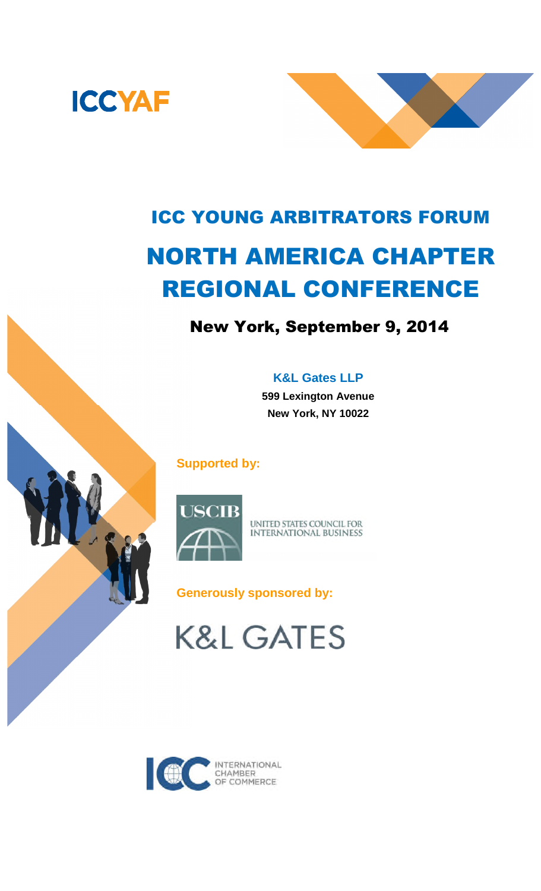



# ICC YOUNG ARBITRATORS FORUM NORTH AMERICA CHAPTER REGIONAL CONFERENCE

# New York, September 9, 2014

# **K&L Gates LLP**

**599 Lexington Avenue New York, NY 10022**

# **Supported by:**



UNITED STATES COUNCIL FOR **INTERNATIONAL BUSINESS** 

**Generously sponsored by:**

**K&L GATES**